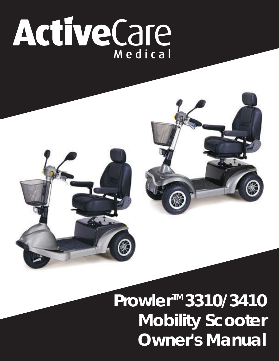# ActiveCare



# **Prowler<sup>™</sup>3310/3410 Mobility Scooter Owner's Manual**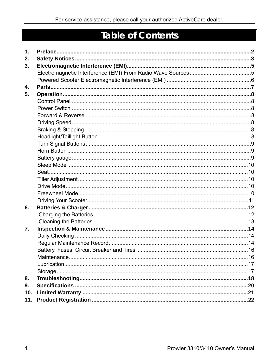# **Table of Contents**

| $\mathbf 1$ . |  |
|---------------|--|
| 2.            |  |
| 3.            |  |
|               |  |
|               |  |
| 4.            |  |
| 5.            |  |
|               |  |
|               |  |
|               |  |
|               |  |
|               |  |
|               |  |
|               |  |
|               |  |
|               |  |
|               |  |
|               |  |
|               |  |
|               |  |
|               |  |
|               |  |
| 6.            |  |
|               |  |
|               |  |
| 7.            |  |
|               |  |
|               |  |
|               |  |
|               |  |
|               |  |
|               |  |
| 8.            |  |
| 9.            |  |
| 10.           |  |
| 11.           |  |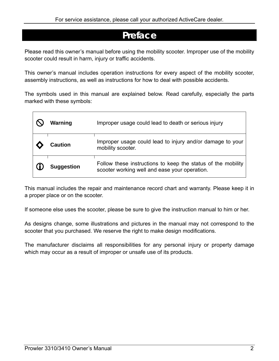# **Preface**

Please read this owner's manual before using the mobility scooter. Improper use of the mobility scooter could result in harm, injury or traffic accidents.

This owner's manual includes operation instructions for every aspect of the mobility scooter, assembly instructions, as well as instructions for how to deal with possible accidents.

The symbols used in this manual are explained below. Read carefully, especially the parts marked with these symbols:

| Warning           | Improper usage could lead to death or serious injury                                                          |
|-------------------|---------------------------------------------------------------------------------------------------------------|
| Caution           | Improper usage could lead to injury and/or damage to your<br>mobility scooter.                                |
| <b>Suggestion</b> | Follow these instructions to keep the status of the mobility<br>scooter working well and ease your operation. |

This manual includes the repair and maintenance record chart and warranty. Please keep it in a proper place or on the scooter.

If someone else uses the scooter, please be sure to give the instruction manual to him or her.

As designs change, some illustrations and pictures in the manual may not correspond to the scooter that you purchased. We reserve the right to make design modifications.

The manufacturer disclaims all responsibilities for any personal injury or property damage which may occur as a result of improper or unsafe use of its products.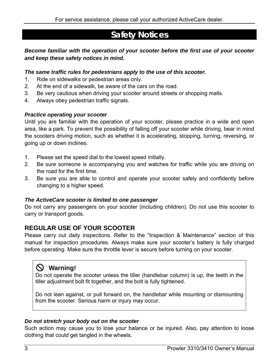# **Safety Notices**

### *Become familiar with the operation of your scooter before the first use of your scooter and keep these safety notices in mind.*

### *The same traffic rules for pedestrians apply to the use of this scooter.*

- 1. Ride on sidewalks or pedestrian areas only.
- 2. At the end of a sidewalk, be aware of the cars on the road.
- 3. Be very cautious when driving your scooter around streets or shopping malls.
- 4. Always obey pedestrian traffic signals.

### *Practice operating your scooter*

Until you are familiar with the operation of your scooter, please practice in a wide and open area, like a park. To prevent the possibility of falling off your scooter while driving, bear in mind the scooters driving motion, such as whether it is accelerating, stopping, turning, reversing, or going up or down inclines.

- 1. Please set the speed dial to the lowest speed initially.
- 2. Be sure someone is accompanying you and watches for traffic while you are driving on the road for the first time.
- 3. Be sure you are able to control and operate your scooter safely and confidently before changing to a higher speed.

### *The ActiveCare scooter is limited to one passenger*

Do not carry any passengers on your scooter (including children). Do not use this scooter to carry or transport goods.

### **REGULAR USE OF YOUR SCOOTER**

Please carry out daily inspections. Refer to the "Inspection & Maintenance" section of this manual for inspection procedures. Always make sure your scooter's battery is fully charged before operating. Make sure the throttle lever is secure before turning on your scooter.

# [ **Warning!**

Do not operate the scooter unless the tiller (handlebar column) is up, the teeth in the tiller adjustment bolt fit together, and the bolt is fully tightened.

Do not lean against, or pull forward on, the handlebar while mounting or dismounting from the scooter. Serious harm or injury may occur.

### *Do not stretch your body out on the scooter*

Such action may cause you to lose your balance or be injured. Also, pay attention to loose clothing that could get tangled in the wheels.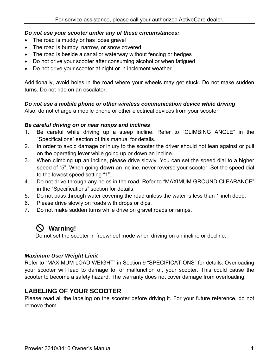### *Do not use your scooter under any of these circumstances:*

- The road is muddy or has loose gravel
- The road is bumpy, narrow, or snow covered
- The road is beside a canal or waterway without fencing or hedges
- Do not drive your scooter after consuming alcohol or when fatigued
- Do not drive your scooter at night or in inclement weather

Additionally, avoid holes in the road where your wheels may get stuck. Do not make sudden turns. Do not ride on an escalator.

### *Do not use a mobile phone or other wireless communication device while driving*

Also, do not charge a mobile phone or other electrical devices from your scooter.

### *Be careful driving on or near ramps and inclines*

- 1. Be careful while driving up a steep incline. Refer to "CLIMBING ANGLE" in the "Specifications" section of this manual for details.
- 2. In order to avoid damage or injury to the scooter the driver should not lean against or pull on the operating lever while going up or down an incline.
- 3. When climbing **up** an incline, please drive slowly. You can set the speed dial to a higher speed of "5". When going **down** an incline, never reverse your scooter. Set the speed dial to the lowest speed setting "1".
- 4. Do not drive through any holes in the road. Refer to "MAXIMUM GROUND CLEARANCE" in the "Specifications" section for details.
- 5. Do not pass through water covering the road unless the water is less than 1 inch deep.
- 6. Please drive slowly on roads with drops or dips.
- 7. Do not make sudden turns while drive on gravel roads or ramps.

### [ **Warning!**

Do not set the scooter in freewheel mode when driving on an incline or decline.

### *Maximum User Weight Limit*

Refer to "MAXIMUM LOAD WEIGHT" in Section 9 "SPECIFICATIONS" for details. Overloading your scooter will lead to damage to, or malfunction of, your scooter. This could cause the scooter to become a safety hazard. The warranty does not cover damage from overloading.

### **LABELING OF YOUR SCOOTER**

Please read all the labeling on the scooter before driving it. For your future reference, do not remove them.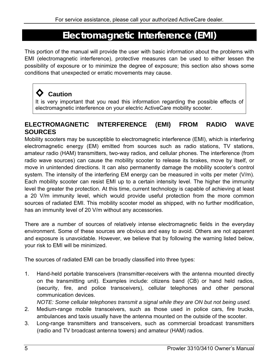# **Electromagnetic Interference (EMI)**

This portion of the manual will provide the user with basic information about the problems with EMI (electromagnetic interference), protective measures can be used to either lessen the possibility of exposure or to minimize the degree of exposure; this section also shows some conditions that unexpected or erratic movements may cause.

# **◊ Caution**

It is very important that you read this information regarding the possible effects of electromagnetic interference on your electric ActiveCare mobility scooter.

### **ELECTROMAGNETIC INTERFERENCE (EMI) FROM RADIO WAVE SOURCES**

Mobility scooters may be susceptible to electromagnetic interference (EMI), which is interfering electromagnetic energy (EM) emitted from sources such as radio stations, TV stations, amateur radio (HAM) transmitters, two-way radios, and cellular phones. The interference (from radio wave sources) can cause the mobility scooter to release its brakes, move by itself, or move in unintended directions. It can also permanently damage the mobility scooter's control system. The intensity of the interfering EM energy can be measured in volts per meter (V/m). Each mobility scooter can resist EMI up to a certain intensity level. The higher the immunity level the greater the protection. At this time, current technology is capable of achieving at least a 20 V/m immunity level, which would provide useful protection from the more common sources of radiated EMI. This mobility scooter model as shipped, with no further modification, has an immunity level of 20 V/m without any accessories.

There are a number of sources of relatively intense electromagnetic fields in the everyday environment. Some of these sources are obvious and easy to avoid. Others are not apparent and exposure is unavoidable. However, we believe that by following the warning listed below, your risk to EMI will be minimized.

The sources of radiated EMI can be broadly classified into three types:

1. Hand-held portable transceivers (transmitter-receivers with the antenna mounted directly on the transmitting unit). Examples include: citizens band (CB) or hand held radios, (security, fire, and police transceivers), cellular telephones and other personal communication devices.

*NOTE: Some cellular telephones transmit a signal while they are ON but not being used.* 

- 2. Medium-range mobile transceivers, such as those used in police cars, fire trucks, ambulances and taxis usually have the antenna mounted on the outside of the scooter.
- 3. Long-range transmitters and transceivers, such as commercial broadcast transmitters (radio and TV broadcast antenna towers) and amateur (HAM) radios.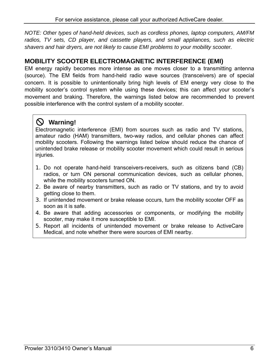*NOTE: Other types of hand-held devices, such as cordless phones, laptop computers, AM/FM radios, TV sets, CD player, and cassette players, and small appliances, such as electric shavers and hair dryers, are not likely to cause EMI problems to your mobility scooter.* 

### **MOBILITY SCOOTER ELECTROMAGNETIC INTERFERENCE (EMI)**

EM energy rapidly becomes more intense as one moves closer to a transmitting antenna (source). The EM fields from hand-held radio wave sources (transceivers) are of special concern. It is possible to unintentionally bring high levels of EM energy very close to the mobility scooter's control system while using these devices; this can affect your scooter's movement and braking. Therefore, the warnings listed below are recommended to prevent possible interference with the control system of a mobility scooter.

# [ **Warning!**

Electromagnetic interference (EMI) from sources such as radio and TV stations, amateur radio (HAM) transmitters, two-way radios, and cellular phones can affect mobility scooters. Following the warnings listed below should reduce the chance of unintended brake release or mobility scooter movement which could result in serious injuries.

- 1. Do not operate hand-held transceivers-receivers, such as citizens band (CB) radios, or turn ON personal communication devices, such as cellular phones, while the mobility scooters turned ON.
- 2. Be aware of nearby transmitters, such as radio or TV stations, and try to avoid getting close to them.
- 3. If unintended movement or brake release occurs, turn the mobility scooter OFF as soon as it is safe.
- 4. Be aware that adding accessories or components, or modifying the mobility scooter, may make it more susceptible to EMI.
- 5. Report all incidents of unintended movement or brake release to ActiveCare Medical, and note whether there were sources of EMI nearby.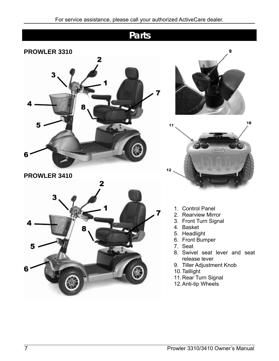# **Parts PROWLER 3310**  2 10 5 11 6 **PROWLER 3410**  2 1. Control Panel 2. Rearview Mirror 3. Front Turn Signal 4. Basket 5. Headlight 6. Front Bumper 7. Seat 8. Swivel seat lever and seat release lever 9. Tiller Adjustment Knob 6 10. Taillight 11. Rear Turn Signal 12. Anti-tip Wheels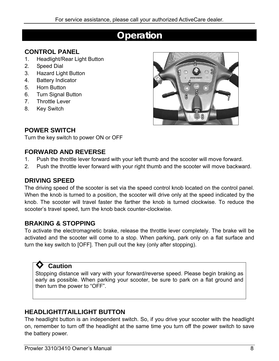# **Operation**

### **CONTROL PANEL**

- 1. Headlight/Rear Light Button
- 2. Speed Dial
- 3. Hazard Light Button
- 4. Battery Indicator
- 5. Horn Button
- 6. Turn Signal Button
- 7. Throttle Lever
- 8. Key Switch



### **POWER SWITCH**

Turn the key switch to power ON or OFF

### **FORWARD AND REVERSE**

- 1. Push the throttle lever forward with your left thumb and the scooter will move forward.
- 2. Push the throttle lever forward with your right thumb and the scooter will move backward.

### **DRIVING SPEED**

The driving speed of the scooter is set via the speed control knob located on the control panel. When the knob is turned to a position, the scooter will drive only at the speed indicated by the knob. The scooter will travel faster the farther the knob is turned clockwise. To reduce the scooter's travel speed, turn the knob back counter-clockwise.

### **BRAKING & STOPPING**

To activate the electromagnetic brake, release the throttle lever completely. The brake will be activated and the scooter will come to a stop. When parking, park only on a flat surface and turn the key switch to [OFF]. Then pull out the key (only after stopping).

### **◊ Caution**

Stopping distance will vary with your forward/reverse speed. Please begin braking as early as possible. When parking your scooter, be sure to park on a flat ground and then turn the power to "OFF".

### **HEADLIGHT/TAILLIGHT BUTTON**

The headlight button is an independent switch. So, if you drive your scooter with the headlight on, remember to turn off the headlight at the same time you turn off the power switch to save the battery power.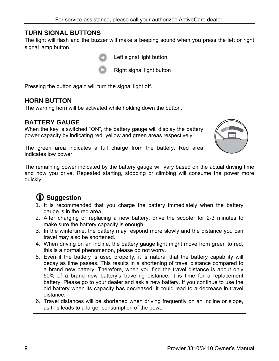### **TURN SIGNAL BUTTONS**

The light will flash and the buzzer will make a beeping sound when you press the left or right signal lamp button.



Left signal light button



Right signal light button

Pressing the button again will turn the signal light off.

### **HORN BUTTON**

The warning horn will be activated while holding down the button.

### **BATTERY GAUGE**

When the key is switched "ON", the battery gauge will display the battery power capacity by indicating red, yellow and green areas respectively.



The green area indicates a full charge from the battery. Red area indicates low power.

The remaining power indicated by the battery gauge will vary based on the actual driving time and how you drive. Repeated starting, stopping or climbing will consume the power more quickly.

# L **Suggestion**

- 1. It is recommended that you charge the battery immediately when the battery gauge is in the red area.
- 2. After charging or replacing a new battery, drive the scooter for 2-3 minutes to make sure the battery capacity is enough.
- 3. In the wintertime, the battery may respond more slowly and the distance you can travel may also be shortened.
- 4. When driving on an incline, the battery gauge light might move from green to red, this is a normal phenomenon, please do not worry.
- 5. Even if the battery is used properly, it is natural that the battery capability will decay as time passes. This results in a shortening of travel distance compared to a brand new battery. Therefore, when you find the travel distance is about only 50% of a brand new battery's traveling distance, it is time for a replacement battery. Please go to your dealer and ask a new battery. If you continue to use the old battery when its capacity has decreased, it could lead to a decrease in travel distance.
- 6. Travel distances will be shortened when driving frequently on an incline or slope, as this leads to a larger consumption of the power.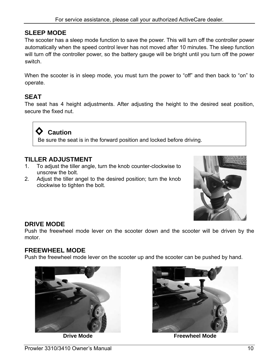### **SLEEP MODE**

The scooter has a sleep mode function to save the power. This will turn off the controller power automatically when the speed control lever has not moved after 10 minutes. The sleep function will turn off the controller power, so the battery gauge will be bright until you turn off the power switch.

When the scooter is in sleep mode, you must turn the power to "off" and then back to "on" to operate.

### **SEAT**

The seat has 4 height adjustments. After adjusting the height to the desired seat position, secure the fixed nut.

**◊ Caution**  Be sure the seat is in the forward position and locked before driving.

### **TILLER ADJUSTMENT**

- 1. To adjust the tiller angle, turn the knob counter-clockwise to unscrew the bolt.
- 2. Adjust the tiller angel to the desired position; turn the knob clockwise to tighten the bolt.



### **DRIVE MODE**

Push the freewheel mode lever on the scooter down and the scooter will be driven by the motor.

### **FREEWHEEL MODE**

Push the freewheel mode lever on the scooter up and the scooter can be pushed by hand.





**Drive Mode Freewheel Mode**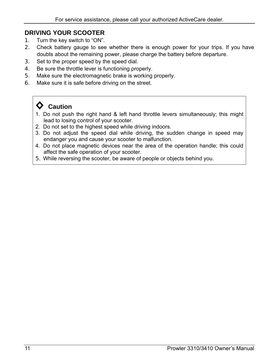### **DRIVING YOUR SCOOTER**

- 1. Turn the key switch to "ON".
- 2. Check battery gauge to see whether there is enough power for your trips. If you have doubts about the remaining power, please charge the battery before departure.
- 3. Set to the proper speed by the speed dial.
- 4. Be sure the throttle lever is functioning properly.
- 5. Make sure the electromagnetic brake is working properly.
- 6. Make sure it is safe before driving on the street.

# **◊ Caution**

- 1. Do not push the right hand & left hand throttle levers simultaneously; this might lead to losing control of your scooter.
- 2. Do not set to the highest speed while driving indoors.
- 3. Do not adjust the speed dial while driving, the sudden change in speed may endanger you and cause your scooter to malfunction.
- 4. Do not place magnetic devices near the area of the operation handle; this could affect the safe operation of your scooter.
- 5. While reversing the scooter, be aware of people or objects behind you.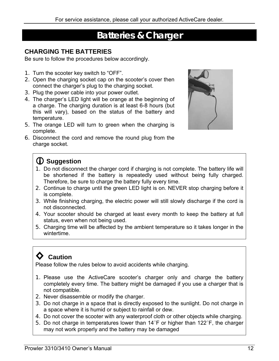# **Batteries & Charger**

### **CHARGING THE BATTERIES**

Be sure to follow the procedures below accordingly.

- 1. Turn the scooter key switch to "OFF".
- 2. Open the charging socket cap on the scooter's cover then connect the charger's plug to the charging socket.
- 3. Plug the power cable into your power outlet.
- 4. The charger's LED light will be orange at the beginning of a charge. The charging duration is at least 6-8 hours (but this will vary), based on the status of the battery and temperature.
- 5. The orange LED will turn to green when the charging is complete.
- 6. Disconnect the cord and remove the round plug from the charge socket.



# L **Suggestion**

- 1. Do not disconnect the charger cord if charging is not complete. The battery life will be shortened if the battery is repeatedly used without being fully charged. Therefore, be sure to charge the battery fully every time.
- 2. Continue to charge until the green LED light is on. NEVER stop charging before it is complete.
- 3. While finishing charging, the electric power will still slowly discharge if the cord is not disconnected.
- 4. Your scooter should be charged at least every month to keep the battery at full status, even when not being used.
- 5. Charging time will be affected by the ambient temperature so it takes longer in the wintertime.

# **◊ Caution**

Please follow the rules below to avoid accidents while charging.

- 1. Please use the ActiveCare scooter's charger only and charge the battery completely every time. The battery might be damaged if you use a charger that is not compatible.
- 2. Never disassemble or modify the charger.
- 3. Do not charge in a space that is directly exposed to the sunlight. Do not charge in a space where it is humid or subject to rainfall or dew.
- 4. Do not cover the scooter with any waterproof cloth or other objects while charging.
- 5. Do not charge in temperatures lower than  $14^{\circ}$ F or higher than  $122^{\circ}$ F, the charger may not work properly and the battery may be damaged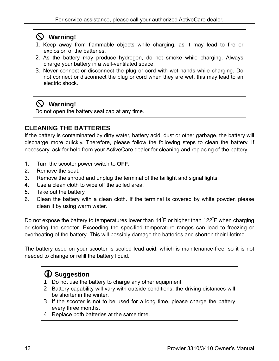# [ **Warning!**

- 1. Keep away from flammable objects while charging, as it may lead to fire or explosion of the batteries.
- 2. As the battery may produce hydrogen, do not smoke while charging. Always charge your battery in a well-ventilated space.
- 3. Never connect or disconnect the plug or cord with wet hands while charging. Do not connect or disconnect the plug or cord when they are wet, this may lead to an electric shock.

# [ **Warning!**

Do not open the battery seal cap at any time.

### **CLEANING THE BATTERIES**

If the battery is contaminated by dirty water, battery acid, dust or other garbage, the battery will discharge more quickly. Therefore, please follow the following steps to clean the battery. If necessary, ask for help from your ActiveCare dealer for cleaning and replacing of the battery.

- 1. Turn the scooter power switch to **OFF**.
- 2. Remove the seat.
- 3. Remove the shroud and unplug the terminal of the taillight and signal lights.
- 4. Use a clean cloth to wipe off the soiled area.
- 5. Take out the battery.
- 6. Clean the battery with a clean cloth. If the terminal is covered by white powder, please clean it by using warm water.

Do not expose the battery to temperatures lower than 14<sup>°</sup>F or higher than 122<sup>°</sup>F when charging or storing the scooter. Exceeding the specified temperature ranges can lead to freezing or overheating of the battery. This will possibly damage the batteries and shorten their lifetime.

The battery used on your scooter is sealed lead acid, which is maintenance-free, so it is not needed to change or refill the battery liquid.

# L **Suggestion**

- 1. Do not use the battery to charge any other equipment.
- 2. Battery capability will vary with outside conditions; the driving distances will be shorter in the winter.
- 3. If the scooter is not to be used for a long time, please charge the battery every three months.
- 4. Replace both batteries at the same time.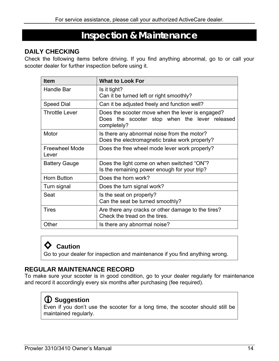# **Inspection & Maintenance**

### **DAILY CHECKING**

Check the following items before driving. If you find anything abnormal, go to or call your scooter dealer for further inspection before using it.

| <b>Item</b>                    | <b>What to Look For</b>                                                                                          |
|--------------------------------|------------------------------------------------------------------------------------------------------------------|
| Handle Bar                     | Is it tight?<br>Can it be turned left or right smoothly?                                                         |
| <b>Speed Dial</b>              | Can it be adjusted freely and function well?                                                                     |
| <b>Throttle Lever</b>          | Does the scooter move when the lever is engaged?<br>Does the scooter stop when the lever released<br>completely? |
| Motor                          | Is there any abnormal noise from the motor?<br>Does the electromagnetic brake work properly?                     |
| <b>Freewheel Mode</b><br>Lever | Does the free wheel mode lever work properly?                                                                    |
| <b>Battery Gauge</b>           | Does the light come on when switched "ON"?<br>Is the remaining power enough for your trip?                       |
| <b>Horn Button</b>             | Does the horn work?                                                                                              |
| Turn signal                    | Does the turn signal work?                                                                                       |
| Seat                           | Is the seat on properly?<br>Can the seat be turned smoothly?                                                     |
| <b>Tires</b>                   | Are there any cracks or other damage to the tires?<br>Check the tread on the tires.                              |
| Other                          | Is there any abnormal noise?                                                                                     |

# **◊ Caution**

Go to your dealer for inspection and maintenance if you find anything wrong.

### **REGULAR MAINTENANCE RECORD**

To make sure your scooter is in good condition, go to your dealer regularly for maintenance and record it accordingly every six months after purchasing (fee required).

# L **Suggestion**

Even if you don't use the scooter for a long time, the scooter should still be maintained regularly.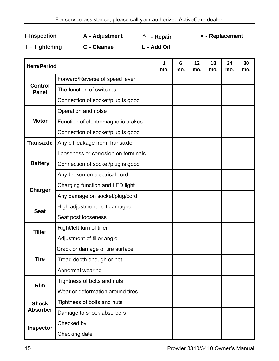**I–Inspection A**-**Adjustment** △ -**Repair ×**-**Replacement**

**T – Tightening C**-**Cleanse L**-**Add Oil**

| <b>Item/Period</b>      | 1<br>mo.                            | 6<br>mo. | 12<br>mo. | 18<br>mo. | 24<br>mo. | 30<br>mo. |  |
|-------------------------|-------------------------------------|----------|-----------|-----------|-----------|-----------|--|
|                         | Forward/Reverse of speed lever      |          |           |           |           |           |  |
| Control<br><b>Panel</b> | The function of switches            |          |           |           |           |           |  |
|                         | Connection of socket/plug is good   |          |           |           |           |           |  |
|                         | Operation and noise                 |          |           |           |           |           |  |
| <b>Motor</b>            | Function of electromagnetic brakes  |          |           |           |           |           |  |
|                         | Connection of socket/plug is good   |          |           |           |           |           |  |
| <b>Transaxle</b>        | Any oil leakage from Transaxle      |          |           |           |           |           |  |
|                         | Looseness or corrosion on terminals |          |           |           |           |           |  |
| <b>Battery</b>          | Connection of socket/plug is good   |          |           |           |           |           |  |
|                         | Any broken on electrical cord       |          |           |           |           |           |  |
| <b>Charger</b>          | Charging function and LED light     |          |           |           |           |           |  |
|                         | Any damage on socket/plug/cord      |          |           |           |           |           |  |
| <b>Seat</b>             | High adjustment bolt damaged        |          |           |           |           |           |  |
|                         | Seat post looseness                 |          |           |           |           |           |  |
| Tiller                  | Right/left turn of tiller           |          |           |           |           |           |  |
|                         | Adjustment of tiller angle          |          |           |           |           |           |  |
|                         | Crack or damage of tire surface     |          |           |           |           |           |  |
| Tire                    | Tread depth enough or not           |          |           |           |           |           |  |
|                         | Abnormal wearing                    |          |           |           |           |           |  |
| Rim                     | Tightness of bolts and nuts         |          |           |           |           |           |  |
|                         | Wear or deformation around tires    |          |           |           |           |           |  |
| <b>Shock</b>            | Tightness of bolts and nuts         |          |           |           |           |           |  |
| <b>Absorber</b>         | Damage to shock absorbers           |          |           |           |           |           |  |
| <b>Inspector</b>        | Checked by                          |          |           |           |           |           |  |
|                         | Checking date                       |          |           |           |           |           |  |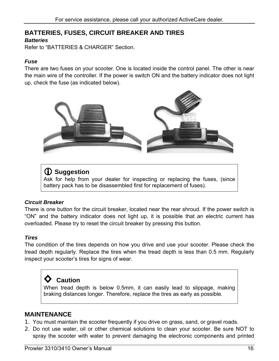### **BATTERIES, FUSES, CIRCUIT BREAKER AND TIRES**  *Batteries*

Refer to "BATTERIES & CHARGER" Section.

### *Fuse*

There are two fuses on your scooter. One is located inside the control panel. The other is near the main wire of the controller. If the power is switch ON and the battery indicator does not light up, check the fuse (as indicated below).



# L **Suggestion**

Ask for help from your dealer for inspecting or replacing the fuses, (since battery pack has to be disassembled first for replacement of fuses).

### *Circuit Breaker*

There is one button for the circuit breaker, located near the rear shroud. If the power switch is "ON" and the battery indicator does not light up, it is possible that an electric current has overloaded. Please try to reset the circuit breaker by pressing this button.

### *Tires*

The condition of the tires depends on how you drive and use your scooter. Please check the tread depth regularly. Replace the tires when the tread depth is less than 0.5 mm. Regularly inspect your scooter's tires for signs of wear.

# **◊ Caution**

When tread depth is below 0.5mm, it can easily lead to slippage, making braking distances longer. Therefore, replace the tires as early as possible.

### **MAINTENANCE**

- 1. You must maintain the scooter frequently if you drive on grass, sand, or gravel roads.
- 2. Do not use water, oil or other chemical solutions to clean your scooter. Be sure NOT to spray the scooter with water to prevent damaging the electronic components and printed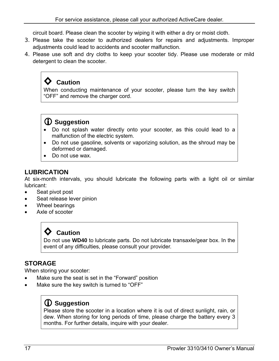circuit board. Please clean the scooter by wiping it with either a dry or moist cloth.

- 3. Please take the scooter to authorized dealers for repairs and adjustments. Improper adjustments could lead to accidents and scooter malfunction.
- 4. Please use soft and dry cloths to keep your scooter tidy. Please use moderate or mild detergent to clean the scooter.

# **◊ Caution**

When conducting maintenance of your scooter, please turn the key switch "OFF" and remove the charger cord.

# L **Suggestion**

- Do not splash water directly onto your scooter, as this could lead to a malfunction of the electric system.
- Do not use gasoline, solvents or vaporizing solution, as the shroud may be deformed or damaged.
- Do not use wax.

### **LUBRICATION**

At six-month intervals, you should lubricate the following parts with a light oil or similar lubricant:

- Seat pivot post
- Seat release lever pinion
- Wheel bearings
- Axle of scooter

# **◊ Caution**

Do not use **WD40** to lubricate parts. Do not lubricate transaxle/gear box. In the event of any difficulties, please consult your provider.

### **STORAGE**

When storing your scooter:

- Make sure the seat is set in the "Forward" position
- Make sure the key switch is turned to "OFF"

# L **Suggestion**

Please store the scooter in a location where it is out of direct sunlight, rain, or dew. When storing for long periods of time, please charge the battery every 3 months. For further details, inquire with your dealer.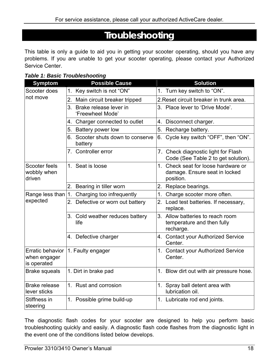# **Troubleshooting**

This table is only a guide to aid you in getting your scooter operating, should you have any problems. If you are unable to get your scooter operating, please contact your Authorized Service Center.

*Table 1: Basic Troubleshooting* 

| <b>Symptom</b>                                         | <b>Possible Cause</b>                         | <b>Solution</b>                                                                                  |
|--------------------------------------------------------|-----------------------------------------------|--------------------------------------------------------------------------------------------------|
| Scooter does                                           | Key switch is not "ON"<br>$1_{-}$             | 1. Turn key switch to "ON".                                                                      |
| not move                                               | 2.<br>Main circuit breaker tripped            | 2. Reset circuit breaker in trunk area.                                                          |
|                                                        | 3. Brake release lever in<br>'Freewheel Mode' | 3. Place lever to 'Drive Mode'.                                                                  |
|                                                        | 4. Charger connected to outlet                | 4. Disconnect charger.                                                                           |
|                                                        | 5. Battery power low                          | 5. Recharge battery.                                                                             |
|                                                        | 6. Scooter shuts down to conserve<br>battery  | 6. Cycle key switch "OFF", then "ON".                                                            |
|                                                        | 7. Controller error                           | 7. Check diagnostic light for Flash<br>Code (See Table 2 to get solution).                       |
| Scooter feels<br>wobbly when<br>driven                 | 1. Seat is loose                              | Check seat for loose hardware or<br>1 <sub>1</sub><br>damage. Ensure seat in locked<br>position. |
|                                                        | Bearing in tiller worn<br>2.                  | 2. Replace bearings.                                                                             |
| Range less than $ 1$ .                                 | Charging too infrequently                     | 1.<br>Charge scooter more often.                                                                 |
| expected                                               | Defective or worn out battery<br>2.           | 2.<br>Load test batteries. If necessary,<br>replace.                                             |
|                                                        | 3. Cold weather reduces battery<br>life       | 3. Allow batteries to reach room<br>temperature and then fully<br>recharge.                      |
|                                                        | 4. Defective charger                          | 4. Contact your Authorized Service<br>Center.                                                    |
| <b>Erratic behavior</b><br>when engager<br>is operated | 1. Faulty engager                             | 1. Contact your Authorized Service<br>Center.                                                    |
| <b>Brake squeals</b>                                   | 1. Dirt in brake pad                          | 1. Blow dirt out with air pressure hose.                                                         |
| <b>Brake release</b><br>lever sticks                   | 1. Rust and corrosion                         | 1. Spray ball detent area with<br>lubrication oil.                                               |
| Stiffness in<br>steering                               | 1. Possible grime build-up                    | 1. Lubricate rod end joints.                                                                     |

The diagnostic flash codes for your scooter are designed to help you perform basic troubleshooting quickly and easily. A diagnostic flash code flashes from the diagnostic light in the event one of the conditions listed below develops.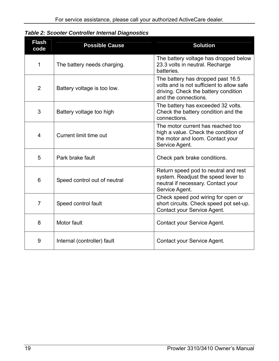|  |  |  |  | <b>Table 2: Scooter Controller Internal Diagnostics</b> |
|--|--|--|--|---------------------------------------------------------|
|--|--|--|--|---------------------------------------------------------|

| <b>Flash</b><br>code | <b>Possible Cause</b>        | <b>Solution</b>                                                                                                                                |
|----------------------|------------------------------|------------------------------------------------------------------------------------------------------------------------------------------------|
| $\mathbf 1$          | The battery needs charging.  | The battery voltage has dropped below<br>23.3 volts in neutral. Recharge<br>batteries.                                                         |
| $\overline{2}$       | Battery voltage is too low.  | The battery has dropped past 16.5<br>volts and is not sufficient to allow safe<br>driving. Check the battery condition<br>and the connections. |
| 3                    | Battery voltage too high     | The battery has exceeded 32 volts.<br>Check the battery condition and the<br>connections.                                                      |
| $\overline{4}$       | Current limit time out       | The motor current has reached too<br>high a value. Check the condition of<br>the motor and loom. Contact your<br>Service Agent.                |
| 5                    | Park brake fault             | Check park brake conditions.                                                                                                                   |
| 6                    | Speed control out of neutral | Return speed pod to neutral and rest<br>system. Readjust the speed lever to<br>neutral if necessary. Contact your<br>Service Agent.            |
| $\overline{7}$       | Speed control fault          | Check speed pod wiring for open or<br>short circuits. Check speed pot set-up.<br>Contact your Service Agent.                                   |
| 8                    | Motor fault                  | Contact your Service Agent.                                                                                                                    |
| 9                    | Internal (controller) fault  | Contact your Service Agent.                                                                                                                    |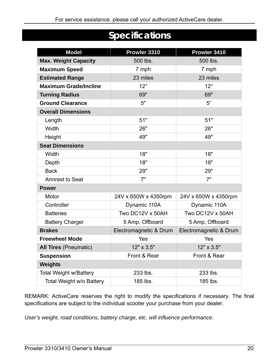# **Specifications**

| <b>Model</b>                  | Prowler 3310           | Prowler 3410           |
|-------------------------------|------------------------|------------------------|
| <b>Max. Weight Capacity</b>   | 500 lbs.               | 500 lbs.               |
| <b>Maximum Speed</b>          | 7 mph                  | 7 mph                  |
| <b>Estimated Range</b>        | 23 miles               | 23 miles               |
| <b>Maximum Grade/Incline</b>  | $12^{\circ}$           | $12^{\circ}$           |
| <b>Turning Radius</b>         | 69"                    | 69"                    |
| <b>Ground Clearance</b>       | 5"                     | 5"                     |
| <b>Overall Dimensions</b>     |                        |                        |
| Length                        | 51"                    | 51"                    |
| Width                         | 26"                    | 26"                    |
| Height                        | 49"                    | 49"                    |
| <b>Seat Dimensions</b>        |                        |                        |
| Width                         | 18"                    | 18"                    |
| Depth                         | 18"                    | 18"                    |
| <b>Back</b>                   | 29"                    | 29"                    |
| <b>Armrest to Seat</b>        | 7"                     | 7"                     |
| <b>Power</b>                  |                        |                        |
| Motor                         | 24V x 650W x 4350rpm   | 24V x 650W x 4350rpm   |
| Controller                    | Dynamic 110A           | Dynamic 110A           |
| <b>Batteries</b>              | Two DC12V x 50AH       | Two DC12V x 50AH       |
| <b>Battery Charger</b>        | 5 Amp, Offboard        | 5 Amp, Offboard        |
| <b>Brakes</b>                 | Electromagnetic & Drum | Electromagnetic & Drum |
| <b>Freewheel Mode</b>         | Yes                    | Yes                    |
| <b>All Tires (Pneumatic)</b>  | 12" x 3.5"             | 12" x 3.5"             |
| <b>Suspension</b>             | Front & Rear           | Front & Rear           |
| <b>Weights</b>                |                        |                        |
| <b>Total Weight w/Battery</b> | 233 lbs.               | 233 lbs.               |
| Total Weight w/o Battery      | 185 lbs.               | 185 lbs.               |

REMARK: ActiveCare reserves the right to modify the specifications if necessary. The final specifications are subject to the individual scooter your purchase from your dealer.

*User's weight, road conditions, battery charge, etc. will influence performance.*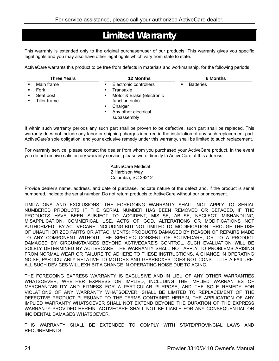# **Limited Warranty**

This warranty is extended only to the original purchaser/user of our products. This warranty gives you specific legal rights and you may also have other legal rights which vary from state to state.

ActiveCare warrants this product to be free from defects in materials and workmanship, for the following periods:

| <b>Three Years</b>                              | <b>12 Months</b>                                                                                                                                              | <b>6 Months</b>  |  |
|-------------------------------------------------|---------------------------------------------------------------------------------------------------------------------------------------------------------------|------------------|--|
| Main frame<br>Fork<br>Seat post<br>Tiller frame | Electronic controllers<br>٠<br>Transaxle<br>٠<br>Motor & Brake (electronic<br>٠<br>function only)<br>Charger<br>٠<br>Any other electrical<br>٠<br>subassembly | <b>Batteries</b> |  |

If within such warranty periods any such part shall be proven to be defective, such part shall be replaced. This warranty does not include any labor or shipping charges incurred in the installation of any such replacement part. ActiveCare's sole obligation, and your exclusive remedy under this warranty, shall be limited to such replacement.

For warranty service, please contact the dealer from whom you purchased your ActiveCare product. In the event you do not receive satisfactory warranty service, please write directly to ActiveCare at this address:

> ActiveCare Medical 2 Harbison Way Columbia, SC 29212

Provide dealer's name, address, and date of purchase, indicate nature of the defect and, if the product is serial numbered, indicate the serial number. Do not return products to ActiveCare without our prior consent.

LIMITATIONS AND EXCLUSIONS: THE FOREGOING WARRANTY SHALL NOT APPLY TO SERIAL NUMBERED PRODUCTS IF THE SERIAL NUMBER HAS BEEN REMOVED OR DEFACED, IF THE PRODUCTS HAVE BEEN SUBJECT TO ACCIDENT, MISUSE, ABUSE, NEGLECT, MISHANDLING, MISAPPLICATION, COMMERICAL USE, ACTS OF GOD, ALTERATIONS OR MODIFICATIONS NOT AUTHORIZED BY ACTIVECARE, INCLUDING BUT NOT LIMITED TO, MODIFICATION THROUGH THE USE OF UNAUTHORIZED PARTS OR ATTACHMENTS; PRODUCTS DAMAGED BY REASON OF REPAIRS MADE TO ANY COMPONENT WITHOUT THE SPECIFIC CONSENT OF ACTIVECARE, OR TO A PRODUCT DAMAGED BY CIRCUMSTANCES BEYOND ACTIVECARE'S CONTROL, SUCH EVALUATION WILL BE SOLELY DETERMINED BY ACTIVECARE. THE WARRANTY SHALL NOT APPLY TO PROBLEMS ARISING FROM NORMAL WEAR OR FAILURE TO ADHERE TO THESE INSTRUCTIONS. A CHANGE IN OPERATING NOISE, PARTICULARLY RELATIVE TO MOTORS AND GEARBOXES DOES NOT CONSTITUTE A FAILURE. ALL SUCH DEVICES WILL EXHIBIT A CHANGE IN OPERATING NOISE DUE TO AGING.

THE FOREGOING EXPRESS WARRANTY IS EXCLUSIVE AND IN LIEU OF ANY OTHER WARRANTIES WHATSOEVER, WHETHER EXPRESS OR IMPLIED, INCLUDING THE IMPLIED WARRANTIES OF MERCHANTABILITY AND FITNESS FOR A PARTICULAR PURPOSE, AND THE SOLE REMEDY FOR VIOLATIONS OF ANY WARRANTY WHATSOEVER, SHALL BE LIMITED TO REPLACEMENT OF THE DEFECTIVE PRODUCT PURSUANT TO THE TERMS CONTAINED HEREIN, THE APPLICATION OF ANY IMPLIED WARRANTY WHATSOEVER SHALL NOT EXTEND BEYOND THE DURATION OF THE EXPRESS WARRANTY PROVIDED HEREIN. ACTIVECARE SHALL NOT BE LIABLE FOR ANY CONSEQUENTIAL OR INCIDENTAL DAMAGES WHATSOEVER.

THIS WARRANTY SHALL BE EXTENDED TO COMPLY WITH STATE/PROVINCIAL LAWS AND REQUIREMENTS.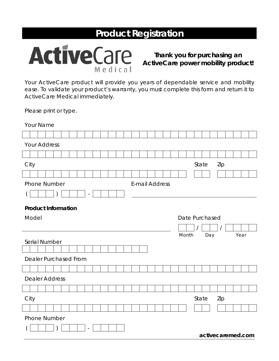# **Product Registration**



**Thank you for purchasing an ActiveCare power mobility product!**

Your ActiveCare product will provide you years of dependable service and mobility ease. To validate your product's warranty, you must complete this form and return it to ActiveCare Medical immediately.

*Please print or type.* 

| Your Name                                    |  |
|----------------------------------------------|--|
|                                              |  |
| <b>Your Address</b>                          |  |
|                                              |  |
| City<br>State<br>Zip                         |  |
|                                              |  |
| <b>Phone Number</b><br><b>E-mail Address</b> |  |
| <b>Product Information</b>                   |  |
| Model<br>Date Purchased                      |  |
|                                              |  |
| Month<br>Day<br>Year<br>Serial Number        |  |
|                                              |  |
|                                              |  |
| <b>Dealer Purchased From</b>                 |  |
|                                              |  |
| <b>Dealer Address</b>                        |  |
|                                              |  |
| City<br>State<br>Zip                         |  |
|                                              |  |
| Phone Number                                 |  |